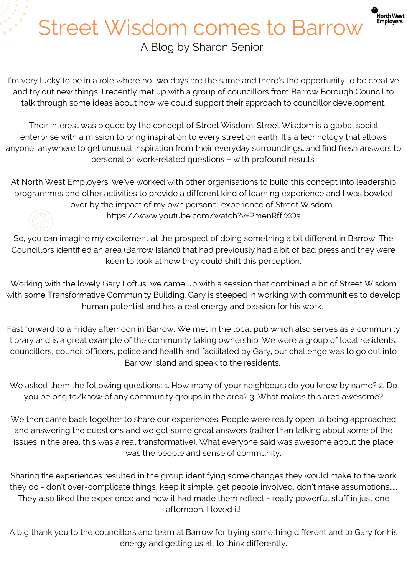## Street Wisdom comes to Barrow A Blog by Sharon Senior

North West<br>Employers

I'm very lucky to be in a role where no two days are the same and there's the opportunity to be creative and try out new things. I recently met up with a group of councillors from Barrow Borough Council to talk through some ideas about how we could support their approach to councillor development.

Their interest was piqued by the concept of Street Wisdom. Street Wisdom is a global social enterprise with a mission to bring inspiration to every street on earth. It's a technology that allows anyone, anywhere to get unusual inspiration from their everyday surroundings…and find fresh answers to personal or work-related questions – with profound results.

At North West Employers, we've worked with other organisations to build this concept into leadership programmes and other activities to provide a different kind of learning experience and I was bowled over by the impact of my own personal experience of Street Wisdom



<https://www.youtube.com/watch?v=PmenRffrXQs>

So, you can imagine my excitement at the prospect of doing something a bit different in Barrow. The Councillors identified an area (Barrow Island) that had previously had a bit of bad press and they were keen to look at how they could shift this perception.

Working with the lovely Gary Loftus, we came up with a session that combined a bit of Street Wisdom with some Transformative Community Building. Gary is steeped in working with communities to develop human potential and has a real energy and passion for his work.

Fast forward to a Friday afternoon in Barrow. We met in the local pub which also serves as a community library and is a great example of the community taking ownership. We were a group of local residents, councillors, council officers, police and health and facilitated by Gary, our challenge was to go out into Barrow Island and speak to the residents.

We asked them the following questions: 1. How many of your neighbours do you know by name? 2. Do you belong to/know of any community groups in the area? 3. What makes this area awesome?

We then came back together to share our experiences. People were really open to being approached and answering the questions and we got some great answers (rather than talking about some of the issues in the area, this was a real transformative). What everyone said was awesome about the place was the people and sense of community.

Sharing the experiences resulted in the group identifying some changes they would make to the work they do - don't over-complicate things, keep it simple, get people involved, don't make assumptions..... They also liked the experience and how it had made them reflect - really powerful stuff in just one afternoon. I loved it!

A big thank you to the councillors and team at Barrow for trying something different and to Gary for his energy and getting us all to think differently.